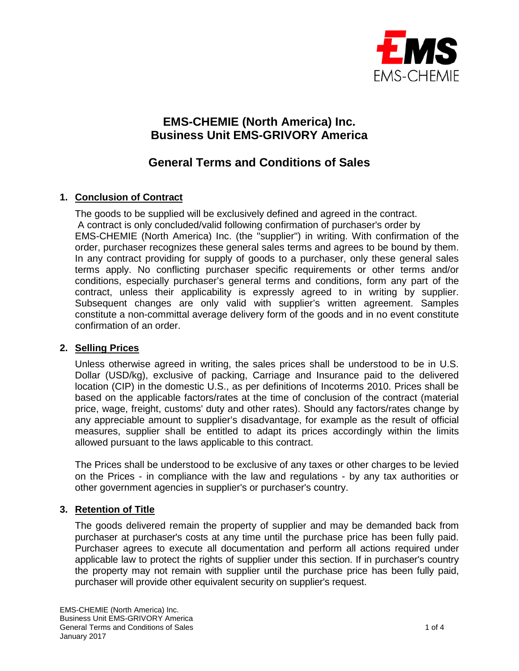

# **EMS-CHEMIE (North America) Inc. Business Unit EMS-GRIVORY America**

# **General Terms and Conditions of Sales**

# **1. Conclusion of Contract**

The goods to be supplied will be exclusively defined and agreed in the contract. A contract is only concluded/valid following confirmation of purchaser's order by EMS-CHEMIE (North America) Inc. (the "supplier") in writing. With confirmation of the order, purchaser recognizes these general sales terms and agrees to be bound by them. In any contract providing for supply of goods to a purchaser, only these general sales terms apply. No conflicting purchaser specific requirements or other terms and/or conditions, especially purchaser's general terms and conditions, form any part of the contract, unless their applicability is expressly agreed to in writing by supplier. Subsequent changes are only valid with supplier's written agreement. Samples constitute a non-committal average delivery form of the goods and in no event constitute confirmation of an order.

## **2. Selling Prices**

Unless otherwise agreed in writing, the sales prices shall be understood to be in U.S. Dollar (USD/kg), exclusive of packing, Carriage and Insurance paid to the delivered location (CIP) in the domestic U.S., as per definitions of Incoterms 2010. Prices shall be based on the applicable factors/rates at the time of conclusion of the contract (material price, wage, freight, customs' duty and other rates). Should any factors/rates change by any appreciable amount to supplier's disadvantage, for example as the result of official measures, supplier shall be entitled to adapt its prices accordingly within the limits allowed pursuant to the laws applicable to this contract.

The Prices shall be understood to be exclusive of any taxes or other charges to be levied on the Prices - in compliance with the law and regulations - by any tax authorities or other government agencies in supplier's or purchaser's country.

## **3. Retention of Title**

The goods delivered remain the property of supplier and may be demanded back from purchaser at purchaser's costs at any time until the purchase price has been fully paid. Purchaser agrees to execute all documentation and perform all actions required under applicable law to protect the rights of supplier under this section. If in purchaser's country the property may not remain with supplier until the purchase price has been fully paid, purchaser will provide other equivalent security on supplier's request.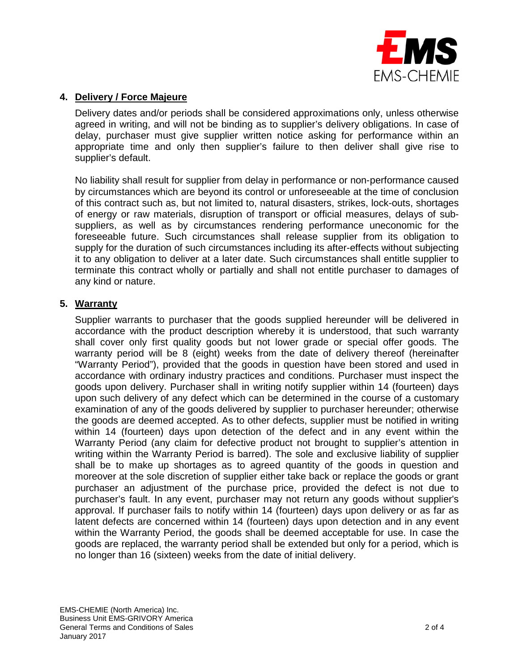

## **4. Delivery / Force Majeure**

Delivery dates and/or periods shall be considered approximations only, unless otherwise agreed in writing, and will not be binding as to supplier's delivery obligations. In case of delay, purchaser must give supplier written notice asking for performance within an appropriate time and only then supplier's failure to then deliver shall give rise to supplier's default.

No liability shall result for supplier from delay in performance or non-performance caused by circumstances which are beyond its control or unforeseeable at the time of conclusion of this contract such as, but not limited to, natural disasters, strikes, lock-outs, shortages of energy or raw materials, disruption of transport or official measures, delays of subsuppliers, as well as by circumstances rendering performance uneconomic for the foreseeable future. Such circumstances shall release supplier from its obligation to supply for the duration of such circumstances including its after-effects without subjecting it to any obligation to deliver at a later date. Such circumstances shall entitle supplier to terminate this contract wholly or partially and shall not entitle purchaser to damages of any kind or nature.

## **5. Warranty**

Supplier warrants to purchaser that the goods supplied hereunder will be delivered in accordance with the product description whereby it is understood, that such warranty shall cover only first quality goods but not lower grade or special offer goods. The warranty period will be 8 (eight) weeks from the date of delivery thereof (hereinafter "Warranty Period"), provided that the goods in question have been stored and used in accordance with ordinary industry practices and conditions. Purchaser must inspect the goods upon delivery. Purchaser shall in writing notify supplier within 14 (fourteen) days upon such delivery of any defect which can be determined in the course of a customary examination of any of the goods delivered by supplier to purchaser hereunder; otherwise the goods are deemed accepted. As to other defects, supplier must be notified in writing within 14 (fourteen) days upon detection of the defect and in any event within the Warranty Period (any claim for defective product not brought to supplier's attention in writing within the Warranty Period is barred). The sole and exclusive liability of supplier shall be to make up shortages as to agreed quantity of the goods in question and moreover at the sole discretion of supplier either take back or replace the goods or grant purchaser an adjustment of the purchase price, provided the defect is not due to purchaser's fault. In any event, purchaser may not return any goods without supplier's approval. If purchaser fails to notify within 14 (fourteen) days upon delivery or as far as latent defects are concerned within 14 (fourteen) days upon detection and in any event within the Warranty Period, the goods shall be deemed acceptable for use. In case the goods are replaced, the warranty period shall be extended but only for a period, which is no longer than 16 (sixteen) weeks from the date of initial delivery.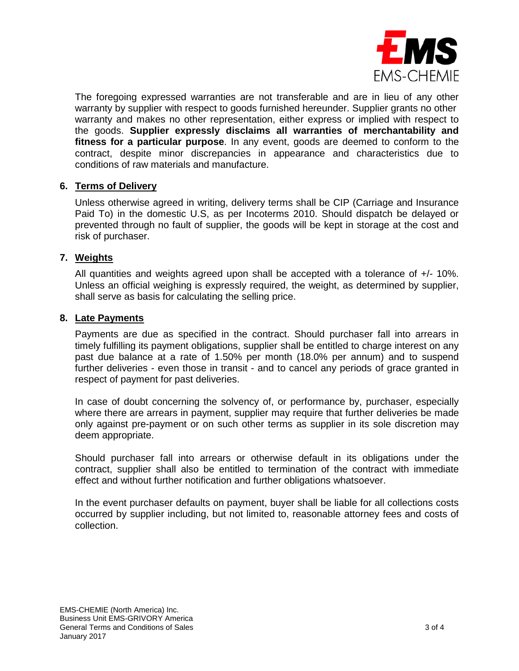

The foregoing expressed warranties are not transferable and are in lieu of any other warranty by supplier with respect to goods furnished hereunder. Supplier grants no other warranty and makes no other representation, either express or implied with respect to the goods. **Supplier expressly disclaims all warranties of merchantability and fitness for a particular purpose**. In any event, goods are deemed to conform to the contract, despite minor discrepancies in appearance and characteristics due to conditions of raw materials and manufacture.

## **6. Terms of Delivery**

Unless otherwise agreed in writing, delivery terms shall be CIP (Carriage and Insurance Paid To) in the domestic U.S, as per Incoterms 2010. Should dispatch be delayed or prevented through no fault of supplier, the goods will be kept in storage at the cost and risk of purchaser.

## **7. Weights**

All quantities and weights agreed upon shall be accepted with a tolerance of +/- 10%. Unless an official weighing is expressly required, the weight, as determined by supplier, shall serve as basis for calculating the selling price.

#### **8. Late Payments**

Payments are due as specified in the contract. Should purchaser fall into arrears in timely fulfilling its payment obligations, supplier shall be entitled to charge interest on any past due balance at a rate of 1.50% per month (18.0% per annum) and to suspend further deliveries - even those in transit - and to cancel any periods of grace granted in respect of payment for past deliveries.

In case of doubt concerning the solvency of, or performance by, purchaser, especially where there are arrears in payment, supplier may require that further deliveries be made only against pre-payment or on such other terms as supplier in its sole discretion may deem appropriate.

Should purchaser fall into arrears or otherwise default in its obligations under the contract, supplier shall also be entitled to termination of the contract with immediate effect and without further notification and further obligations whatsoever.

In the event purchaser defaults on payment, buyer shall be liable for all collections costs occurred by supplier including, but not limited to, reasonable attorney fees and costs of collection.